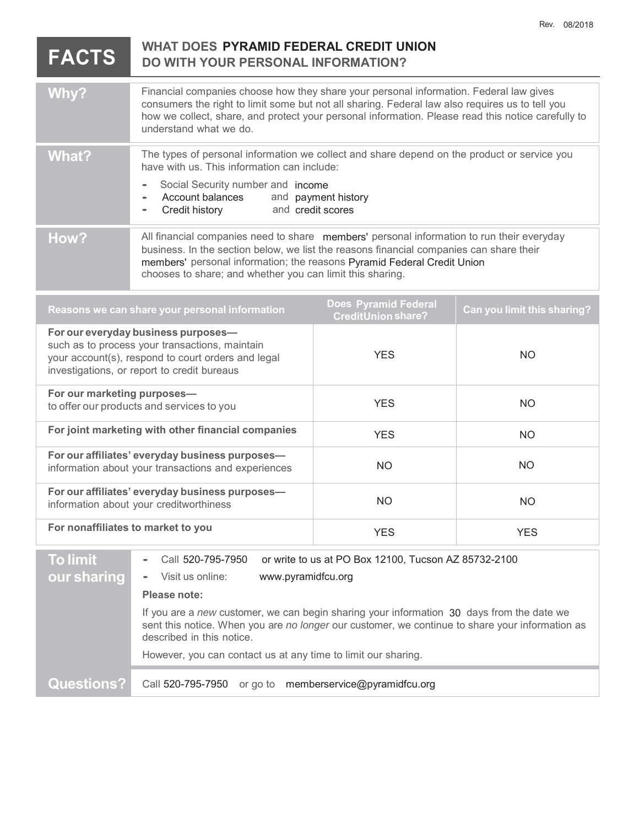| <b>FACTS</b>                                                                                                                                                                               | <b>WHAT DOES PYRAMID FEDERAL CREDIT UNION</b><br><b>DO WITH YOUR PERSONAL INFORMATION?</b>                                                                                                                                                                                                                                                                                                                                        |            |            |
|--------------------------------------------------------------------------------------------------------------------------------------------------------------------------------------------|-----------------------------------------------------------------------------------------------------------------------------------------------------------------------------------------------------------------------------------------------------------------------------------------------------------------------------------------------------------------------------------------------------------------------------------|------------|------------|
| Why?                                                                                                                                                                                       | Financial companies choose how they share your personal information. Federal law gives<br>consumers the right to limit some but not all sharing. Federal law also requires us to tell you<br>how we collect, share, and protect your personal information. Please read this notice carefully to<br>understand what we do.                                                                                                         |            |            |
| <b>What?</b>                                                                                                                                                                               | The types of personal information we collect and share depend on the product or service you<br>have with us. This information can include:<br>Social Security number and income<br>$\bullet$<br>Account balances<br>and payment history                                                                                                                                                                                           |            |            |
| How?                                                                                                                                                                                       | and credit scores<br>Credit history<br>All financial companies need to share members' personal information to run their everyday<br>business. In the section below, we list the reasons financial companies can share their<br>members' personal information; the reasons Pyramid Federal Credit Union<br>chooses to share; and whether you can limit this sharing.                                                               |            |            |
| <b>Does Pyramid Federal</b><br>Can you limit this sharing?<br>Reasons we can share your personal information<br>CreditUnion share?                                                         |                                                                                                                                                                                                                                                                                                                                                                                                                                   |            |            |
| For our everyday business purposes-<br>such as to process your transactions, maintain<br>your account(s), respond to court orders and legal<br>investigations, or report to credit bureaus |                                                                                                                                                                                                                                                                                                                                                                                                                                   | <b>YES</b> | <b>NO</b>  |
| For our marketing purposes-<br>to offer our products and services to you                                                                                                                   |                                                                                                                                                                                                                                                                                                                                                                                                                                   | <b>YES</b> | <b>NO</b>  |
| For joint marketing with other financial companies                                                                                                                                         |                                                                                                                                                                                                                                                                                                                                                                                                                                   | <b>YES</b> | <b>NO</b>  |
| For our affiliates' everyday business purposes-<br>information about your transactions and experiences                                                                                     |                                                                                                                                                                                                                                                                                                                                                                                                                                   | <b>NO</b>  | <b>NO</b>  |
| For our affiliates' everyday business purposes-<br>information about your creditworthiness                                                                                                 |                                                                                                                                                                                                                                                                                                                                                                                                                                   | <b>NO</b>  | NO         |
| For nonaffiliates to market to you                                                                                                                                                         |                                                                                                                                                                                                                                                                                                                                                                                                                                   | <b>YES</b> | <b>YES</b> |
| <b>To limit</b><br>our sharing                                                                                                                                                             | Call 520-795-7950<br>or write to us at PO Box 12100, Tucson AZ 85732-2100<br>www.pyramidfcu.org<br>Visit us online:<br>Please note:<br>If you are a new customer, we can begin sharing your information 30 days from the date we<br>sent this notice. When you are no longer our customer, we continue to share your information as<br>described in this notice.<br>However, you can contact us at any time to limit our sharing. |            |            |
| <b>Questions?</b>                                                                                                                                                                          | Call 520-795-7950<br>or go to memberservice@pyramidfcu.org                                                                                                                                                                                                                                                                                                                                                                        |            |            |